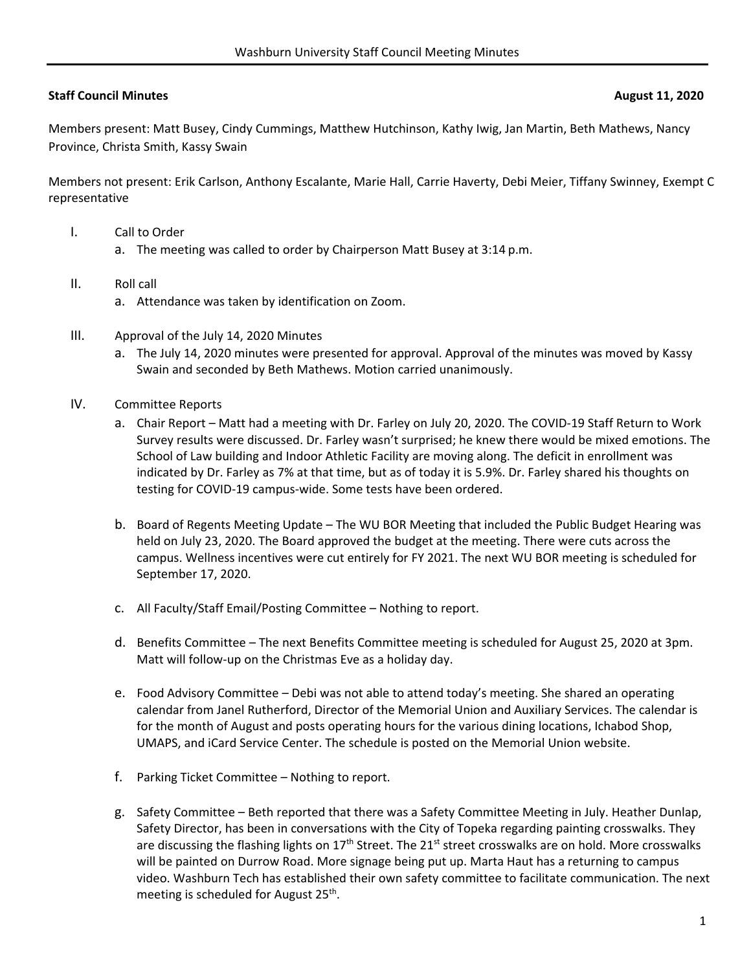## **Staff Council Minutes August 11, 2020**

Members present: Matt Busey, Cindy Cummings, Matthew Hutchinson, Kathy Iwig, Jan Martin, Beth Mathews, Nancy Province, Christa Smith, Kassy Swain

Members not present: Erik Carlson, Anthony Escalante, Marie Hall, Carrie Haverty, Debi Meier, Tiffany Swinney, Exempt C representative

- I. Call to Order
	- a. The meeting was called to order by Chairperson Matt Busey at 3:14 p.m.
- II. Roll call
	- a. Attendance was taken by identification on Zoom.
- III. Approval of the July 14, 2020 Minutes
	- a. The July 14, 2020 minutes were presented for approval. Approval of the minutes was moved by Kassy Swain and seconded by Beth Mathews. Motion carried unanimously.
- IV. Committee Reports
	- a. Chair Report Matt had a meeting with Dr. Farley on July 20, 2020. The COVID‐19 Staff Return to Work Survey results were discussed. Dr. Farley wasn't surprised; he knew there would be mixed emotions. The School of Law building and Indoor Athletic Facility are moving along. The deficit in enrollment was indicated by Dr. Farley as 7% at that time, but as of today it is 5.9%. Dr. Farley shared his thoughts on testing for COVID‐19 campus‐wide. Some tests have been ordered.
	- b. Board of Regents Meeting Update The WU BOR Meeting that included the Public Budget Hearing was held on July 23, 2020. The Board approved the budget at the meeting. There were cuts across the campus. Wellness incentives were cut entirely for FY 2021. The next WU BOR meeting is scheduled for September 17, 2020.
	- c. All Faculty/Staff Email/Posting Committee Nothing to report.
	- d. Benefits Committee The next Benefits Committee meeting is scheduled for August 25, 2020 at 3pm. Matt will follow‐up on the Christmas Eve as a holiday day.
	- e. Food Advisory Committee Debi was not able to attend today's meeting. She shared an operating calendar from Janel Rutherford, Director of the Memorial Union and Auxiliary Services. The calendar is for the month of August and posts operating hours for the various dining locations, Ichabod Shop, UMAPS, and iCard Service Center. The schedule is posted on the Memorial Union website.
	- f. Parking Ticket Committee Nothing to report.
	- g. Safety Committee Beth reported that there was a Safety Committee Meeting in July. Heather Dunlap, Safety Director, has been in conversations with the City of Topeka regarding painting crosswalks. They are discussing the flashing lights on  $17<sup>th</sup>$  Street. The 21<sup>st</sup> street crosswalks are on hold. More crosswalks will be painted on Durrow Road. More signage being put up. Marta Haut has a returning to campus video. Washburn Tech has established their own safety committee to facilitate communication. The next meeting is scheduled for August 25<sup>th</sup>.